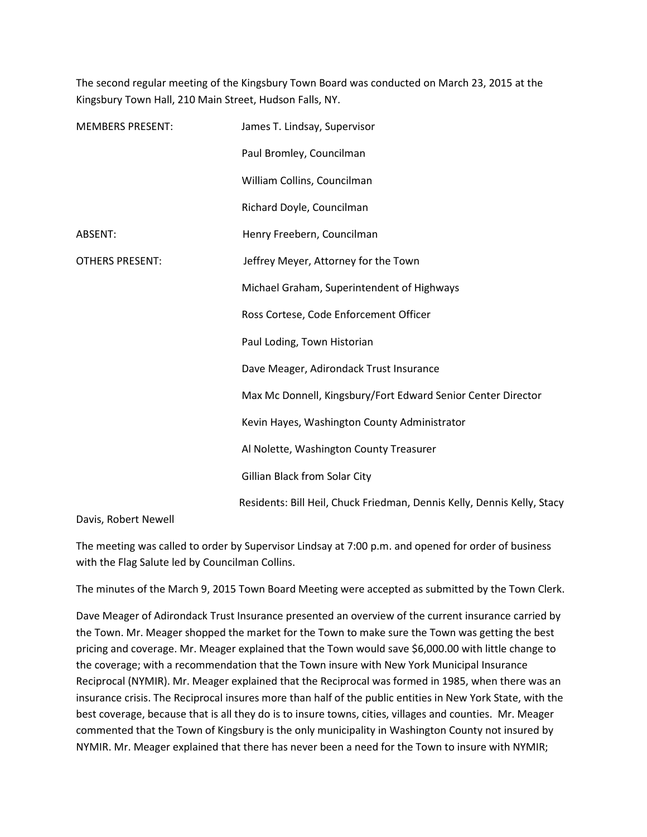The second regular meeting of the Kingsbury Town Board was conducted on March 23, 2015 at the Kingsbury Town Hall, 210 Main Street, Hudson Falls, NY.

| <b>MEMBERS PRESENT:</b> | James T. Lindsay, Supervisor                                            |
|-------------------------|-------------------------------------------------------------------------|
|                         | Paul Bromley, Councilman                                                |
|                         | William Collins, Councilman                                             |
|                         | Richard Doyle, Councilman                                               |
| ABSENT:                 | Henry Freebern, Councilman                                              |
| <b>OTHERS PRESENT:</b>  | Jeffrey Meyer, Attorney for the Town                                    |
|                         | Michael Graham, Superintendent of Highways                              |
|                         | Ross Cortese, Code Enforcement Officer                                  |
|                         | Paul Loding, Town Historian                                             |
|                         | Dave Meager, Adirondack Trust Insurance                                 |
|                         | Max Mc Donnell, Kingsbury/Fort Edward Senior Center Director            |
|                         | Kevin Hayes, Washington County Administrator                            |
|                         | Al Nolette, Washington County Treasurer                                 |
|                         | Gillian Black from Solar City                                           |
|                         | Residents: Bill Heil, Chuck Friedman, Dennis Kelly, Dennis Kelly, Stacy |

Davis, Robert Newell

The meeting was called to order by Supervisor Lindsay at 7:00 p.m. and opened for order of business with the Flag Salute led by Councilman Collins.

The minutes of the March 9, 2015 Town Board Meeting were accepted as submitted by the Town Clerk.

Dave Meager of Adirondack Trust Insurance presented an overview of the current insurance carried by the Town. Mr. Meager shopped the market for the Town to make sure the Town was getting the best pricing and coverage. Mr. Meager explained that the Town would save \$6,000.00 with little change to the coverage; with a recommendation that the Town insure with New York Municipal Insurance Reciprocal (NYMIR). Mr. Meager explained that the Reciprocal was formed in 1985, when there was an insurance crisis. The Reciprocal insures more than half of the public entities in New York State, with the best coverage, because that is all they do is to insure towns, cities, villages and counties. Mr. Meager commented that the Town of Kingsbury is the only municipality in Washington County not insured by NYMIR. Mr. Meager explained that there has never been a need for the Town to insure with NYMIR;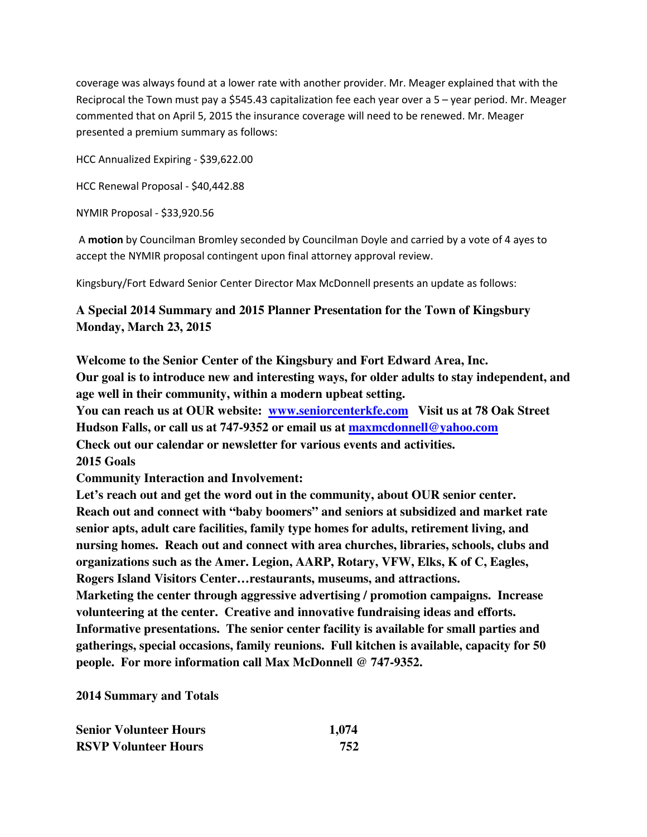coverage was always found at a lower rate with another provider. Mr. Meager explained that with the Reciprocal the Town must pay a \$545.43 capitalization fee each year over a 5 – year period. Mr. Meager commented that on April 5, 2015 the insurance coverage will need to be renewed. Mr. Meager presented a premium summary as follows:

HCC Annualized Expiring - \$39,622.00

HCC Renewal Proposal - \$40,442.88

NYMIR Proposal - \$33,920.56

 A **motion** by Councilman Bromley seconded by Councilman Doyle and carried by a vote of 4 ayes to accept the NYMIR proposal contingent upon final attorney approval review.

Kingsbury/Fort Edward Senior Center Director Max McDonnell presents an update as follows:

# **A Special 2014 Summary and 2015 Planner Presentation for the Town of Kingsbury Monday, March 23, 2015**

**Welcome to the Senior Center of the Kingsbury and Fort Edward Area, Inc. Our goal is to introduce new and interesting ways, for older adults to stay independent, and age well in their community, within a modern upbeat setting.** 

**You can reach us at OUR website: www.seniorcenterkfe.com Visit us at 78 Oak Street Hudson Falls, or call us at 747-9352 or email us at maxmcdonnell@yahoo.com Check out our calendar or newsletter for various events and activities. 2015 Goals** 

**Community Interaction and Involvement:** 

Let's reach out and get the word out in the community, about OUR senior center. **Reach out and connect with "baby boomers" and seniors at subsidized and market rate senior apts, adult care facilities, family type homes for adults, retirement living, and nursing homes. Reach out and connect with area churches, libraries, schools, clubs and organizations such as the Amer. Legion, AARP, Rotary, VFW, Elks, K of C, Eagles, Rogers Island Visitors Center…restaurants, museums, and attractions. Marketing the center through aggressive advertising / promotion campaigns. Increase volunteering at the center. Creative and innovative fundraising ideas and efforts. Informative presentations. The senior center facility is available for small parties and gatherings, special occasions, family reunions. Full kitchen is available, capacity for 50 people. For more information call Max McDonnell @ 747-9352.** 

**2014 Summary and Totals** 

| <b>Senior Volunteer Hours</b> | 1,074 |
|-------------------------------|-------|
| <b>RSVP Volunteer Hours</b>   | 752   |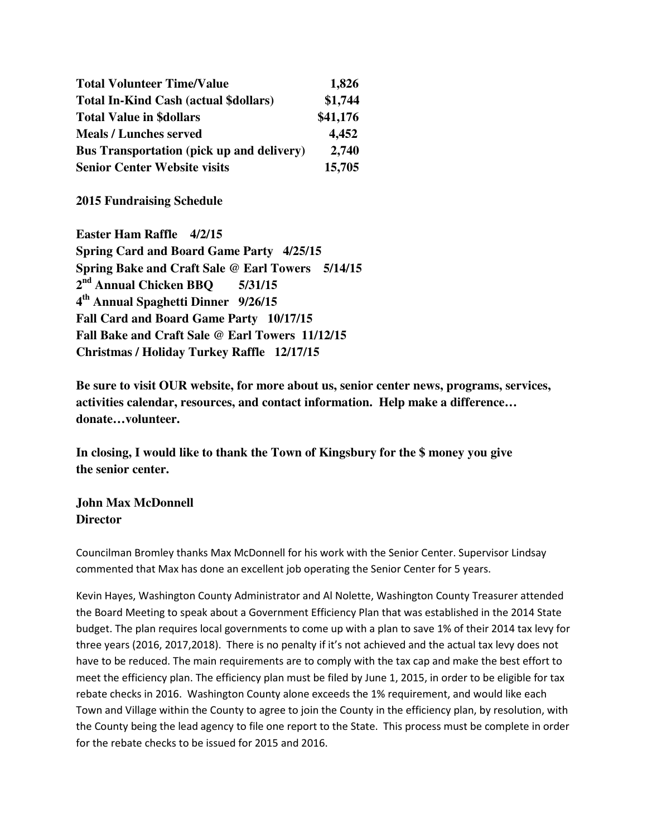| <b>Total Volunteer Time/Value</b>                | 1,826    |
|--------------------------------------------------|----------|
| <b>Total In-Kind Cash (actual \$dollars)</b>     | \$1,744  |
| <b>Total Value in \$dollars</b>                  | \$41,176 |
| <b>Meals / Lunches served</b>                    | 4,452    |
| <b>Bus Transportation (pick up and delivery)</b> | 2,740    |
| <b>Senior Center Website visits</b>              | 15,705   |

**2015 Fundraising Schedule** 

**Easter Ham Raffle 4/2/15 Spring Card and Board Game Party 4/25/15 Spring Bake and Craft Sale @ Earl Towers 5/14/15 2 nd Annual Chicken BBQ 5/31/15 4 th Annual Spaghetti Dinner 9/26/15 Fall Card and Board Game Party 10/17/15 Fall Bake and Craft Sale @ Earl Towers 11/12/15 Christmas / Holiday Turkey Raffle 12/17/15** 

**Be sure to visit OUR website, for more about us, senior center news, programs, services, activities calendar, resources, and contact information. Help make a difference… donate…volunteer.** 

**In closing, I would like to thank the Town of Kingsbury for the \$ money you give the senior center.** 

**John Max McDonnell Director** 

Councilman Bromley thanks Max McDonnell for his work with the Senior Center. Supervisor Lindsay commented that Max has done an excellent job operating the Senior Center for 5 years.

Kevin Hayes, Washington County Administrator and Al Nolette, Washington County Treasurer attended the Board Meeting to speak about a Government Efficiency Plan that was established in the 2014 State budget. The plan requires local governments to come up with a plan to save 1% of their 2014 tax levy for three years (2016, 2017,2018). There is no penalty if it's not achieved and the actual tax levy does not have to be reduced. The main requirements are to comply with the tax cap and make the best effort to meet the efficiency plan. The efficiency plan must be filed by June 1, 2015, in order to be eligible for tax rebate checks in 2016. Washington County alone exceeds the 1% requirement, and would like each Town and Village within the County to agree to join the County in the efficiency plan, by resolution, with the County being the lead agency to file one report to the State. This process must be complete in order for the rebate checks to be issued for 2015 and 2016.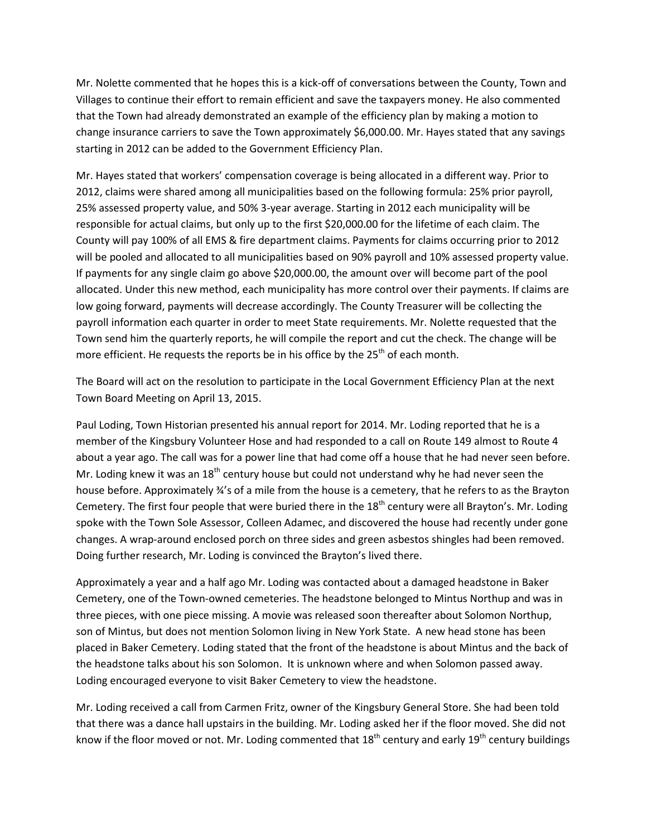Mr. Nolette commented that he hopes this is a kick-off of conversations between the County, Town and Villages to continue their effort to remain efficient and save the taxpayers money. He also commented that the Town had already demonstrated an example of the efficiency plan by making a motion to change insurance carriers to save the Town approximately \$6,000.00. Mr. Hayes stated that any savings starting in 2012 can be added to the Government Efficiency Plan.

Mr. Hayes stated that workers' compensation coverage is being allocated in a different way. Prior to 2012, claims were shared among all municipalities based on the following formula: 25% prior payroll, 25% assessed property value, and 50% 3-year average. Starting in 2012 each municipality will be responsible for actual claims, but only up to the first \$20,000.00 for the lifetime of each claim. The County will pay 100% of all EMS & fire department claims. Payments for claims occurring prior to 2012 will be pooled and allocated to all municipalities based on 90% payroll and 10% assessed property value. If payments for any single claim go above \$20,000.00, the amount over will become part of the pool allocated. Under this new method, each municipality has more control over their payments. If claims are low going forward, payments will decrease accordingly. The County Treasurer will be collecting the payroll information each quarter in order to meet State requirements. Mr. Nolette requested that the Town send him the quarterly reports, he will compile the report and cut the check. The change will be more efficient. He requests the reports be in his office by the  $25<sup>th</sup>$  of each month.

The Board will act on the resolution to participate in the Local Government Efficiency Plan at the next Town Board Meeting on April 13, 2015.

Paul Loding, Town Historian presented his annual report for 2014. Mr. Loding reported that he is a member of the Kingsbury Volunteer Hose and had responded to a call on Route 149 almost to Route 4 about a year ago. The call was for a power line that had come off a house that he had never seen before. Mr. Loding knew it was an  $18<sup>th</sup>$  century house but could not understand why he had never seen the house before. Approximately ¾'s of a mile from the house is a cemetery, that he refers to as the Brayton Cemetery. The first four people that were buried there in the  $18<sup>th</sup>$  century were all Brayton's. Mr. Loding spoke with the Town Sole Assessor, Colleen Adamec, and discovered the house had recently under gone changes. A wrap-around enclosed porch on three sides and green asbestos shingles had been removed. Doing further research, Mr. Loding is convinced the Brayton's lived there.

Approximately a year and a half ago Mr. Loding was contacted about a damaged headstone in Baker Cemetery, one of the Town-owned cemeteries. The headstone belonged to Mintus Northup and was in three pieces, with one piece missing. A movie was released soon thereafter about Solomon Northup, son of Mintus, but does not mention Solomon living in New York State. A new head stone has been placed in Baker Cemetery. Loding stated that the front of the headstone is about Mintus and the back of the headstone talks about his son Solomon. It is unknown where and when Solomon passed away. Loding encouraged everyone to visit Baker Cemetery to view the headstone.

Mr. Loding received a call from Carmen Fritz, owner of the Kingsbury General Store. She had been told that there was a dance hall upstairs in the building. Mr. Loding asked her if the floor moved. She did not know if the floor moved or not. Mr. Loding commented that  $18<sup>th</sup>$  century and early  $19<sup>th</sup>$  century buildings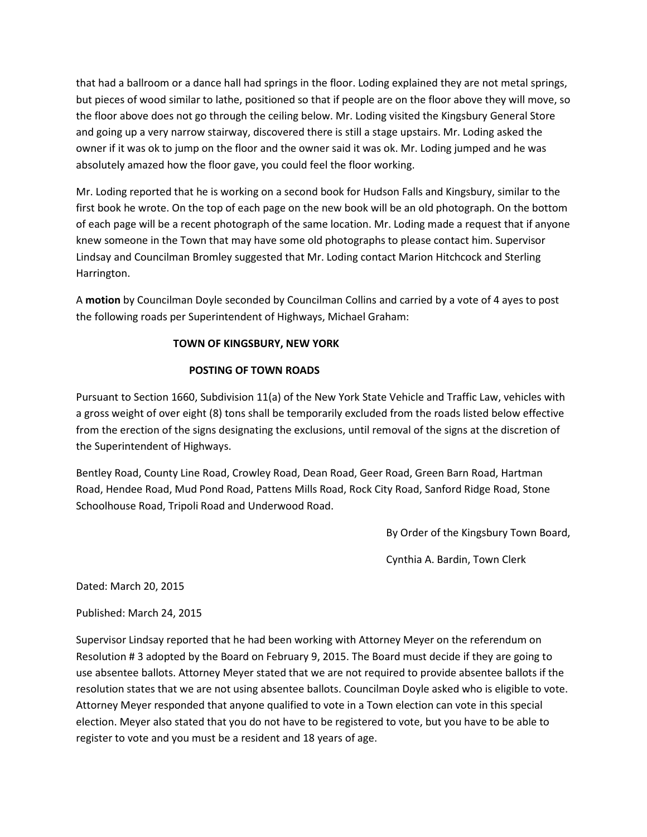that had a ballroom or a dance hall had springs in the floor. Loding explained they are not metal springs, but pieces of wood similar to lathe, positioned so that if people are on the floor above they will move, so the floor above does not go through the ceiling below. Mr. Loding visited the Kingsbury General Store and going up a very narrow stairway, discovered there is still a stage upstairs. Mr. Loding asked the owner if it was ok to jump on the floor and the owner said it was ok. Mr. Loding jumped and he was absolutely amazed how the floor gave, you could feel the floor working.

Mr. Loding reported that he is working on a second book for Hudson Falls and Kingsbury, similar to the first book he wrote. On the top of each page on the new book will be an old photograph. On the bottom of each page will be a recent photograph of the same location. Mr. Loding made a request that if anyone knew someone in the Town that may have some old photographs to please contact him. Supervisor Lindsay and Councilman Bromley suggested that Mr. Loding contact Marion Hitchcock and Sterling Harrington.

A **motion** by Councilman Doyle seconded by Councilman Collins and carried by a vote of 4 ayes to post the following roads per Superintendent of Highways, Michael Graham:

### **TOWN OF KINGSBURY, NEW YORK**

### **POSTING OF TOWN ROADS**

Pursuant to Section 1660, Subdivision 11(a) of the New York State Vehicle and Traffic Law, vehicles with a gross weight of over eight (8) tons shall be temporarily excluded from the roads listed below effective from the erection of the signs designating the exclusions, until removal of the signs at the discretion of the Superintendent of Highways.

Bentley Road, County Line Road, Crowley Road, Dean Road, Geer Road, Green Barn Road, Hartman Road, Hendee Road, Mud Pond Road, Pattens Mills Road, Rock City Road, Sanford Ridge Road, Stone Schoolhouse Road, Tripoli Road and Underwood Road.

By Order of the Kingsbury Town Board,

Cynthia A. Bardin, Town Clerk

Dated: March 20, 2015

Published: March 24, 2015

Supervisor Lindsay reported that he had been working with Attorney Meyer on the referendum on Resolution # 3 adopted by the Board on February 9, 2015. The Board must decide if they are going to use absentee ballots. Attorney Meyer stated that we are not required to provide absentee ballots if the resolution states that we are not using absentee ballots. Councilman Doyle asked who is eligible to vote. Attorney Meyer responded that anyone qualified to vote in a Town election can vote in this special election. Meyer also stated that you do not have to be registered to vote, but you have to be able to register to vote and you must be a resident and 18 years of age.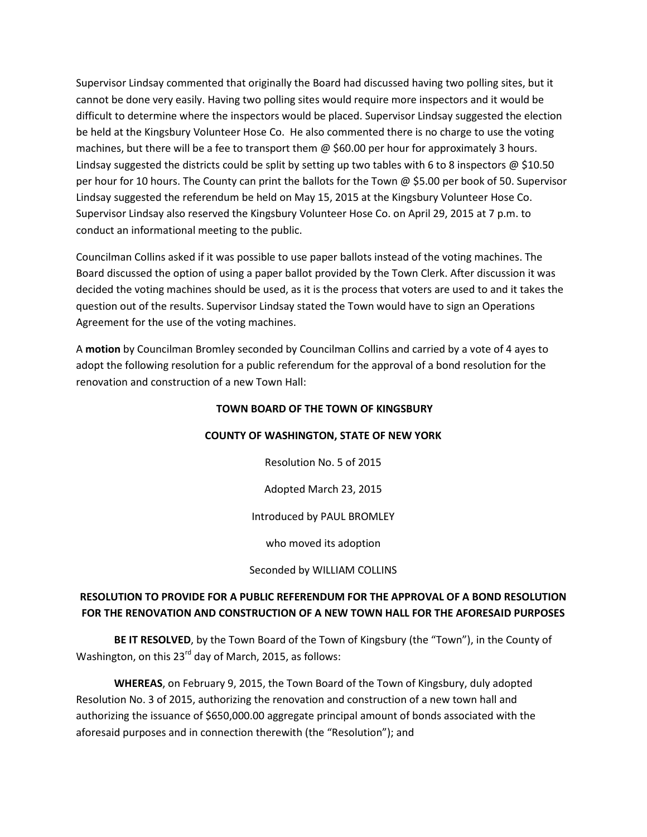Supervisor Lindsay commented that originally the Board had discussed having two polling sites, but it cannot be done very easily. Having two polling sites would require more inspectors and it would be difficult to determine where the inspectors would be placed. Supervisor Lindsay suggested the election be held at the Kingsbury Volunteer Hose Co. He also commented there is no charge to use the voting machines, but there will be a fee to transport them @ \$60.00 per hour for approximately 3 hours. Lindsay suggested the districts could be split by setting up two tables with 6 to 8 inspectors  $\omega$  \$10.50 per hour for 10 hours. The County can print the ballots for the Town  $\omega$  \$5.00 per book of 50. Supervisor Lindsay suggested the referendum be held on May 15, 2015 at the Kingsbury Volunteer Hose Co. Supervisor Lindsay also reserved the Kingsbury Volunteer Hose Co. on April 29, 2015 at 7 p.m. to conduct an informational meeting to the public.

Councilman Collins asked if it was possible to use paper ballots instead of the voting machines. The Board discussed the option of using a paper ballot provided by the Town Clerk. After discussion it was decided the voting machines should be used, as it is the process that voters are used to and it takes the question out of the results. Supervisor Lindsay stated the Town would have to sign an Operations Agreement for the use of the voting machines.

A **motion** by Councilman Bromley seconded by Councilman Collins and carried by a vote of 4 ayes to adopt the following resolution for a public referendum for the approval of a bond resolution for the renovation and construction of a new Town Hall:

#### **TOWN BOARD OF THE TOWN OF KINGSBURY**

#### **COUNTY OF WASHINGTON, STATE OF NEW YORK**

Resolution No. 5 of 2015

Adopted March 23, 2015

Introduced by PAUL BROMLEY

who moved its adoption

Seconded by WILLIAM COLLINS

### **RESOLUTION TO PROVIDE FOR A PUBLIC REFERENDUM FOR THE APPROVAL OF A BOND RESOLUTION FOR THE RENOVATION AND CONSTRUCTION OF A NEW TOWN HALL FOR THE AFORESAID PURPOSES**

**BE IT RESOLVED**, by the Town Board of the Town of Kingsbury (the "Town"), in the County of Washington, on this 23<sup>rd</sup> day of March, 2015, as follows:

**WHEREAS**, on February 9, 2015, the Town Board of the Town of Kingsbury, duly adopted Resolution No. 3 of 2015, authorizing the renovation and construction of a new town hall and authorizing the issuance of \$650,000.00 aggregate principal amount of bonds associated with the aforesaid purposes and in connection therewith (the "Resolution"); and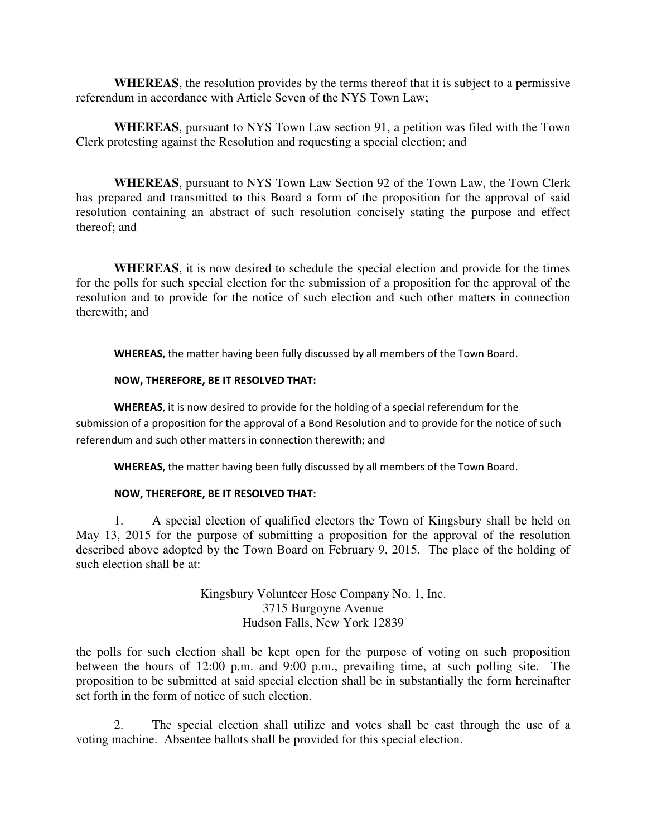**WHEREAS**, the resolution provides by the terms thereof that it is subject to a permissive referendum in accordance with Article Seven of the NYS Town Law;

**WHEREAS**, pursuant to NYS Town Law section 91, a petition was filed with the Town Clerk protesting against the Resolution and requesting a special election; and

**WHEREAS**, pursuant to NYS Town Law Section 92 of the Town Law, the Town Clerk has prepared and transmitted to this Board a form of the proposition for the approval of said resolution containing an abstract of such resolution concisely stating the purpose and effect thereof; and

**WHEREAS**, it is now desired to schedule the special election and provide for the times for the polls for such special election for the submission of a proposition for the approval of the resolution and to provide for the notice of such election and such other matters in connection therewith; and

**WHEREAS**, the matter having been fully discussed by all members of the Town Board.

#### **NOW, THEREFORE, BE IT RESOLVED THAT:**

**WHEREAS**, it is now desired to provide for the holding of a special referendum for the submission of a proposition for the approval of a Bond Resolution and to provide for the notice of such referendum and such other matters in connection therewith; and

**WHEREAS**, the matter having been fully discussed by all members of the Town Board.

#### **NOW, THEREFORE, BE IT RESOLVED THAT:**

1. A special election of qualified electors the Town of Kingsbury shall be held on May 13, 2015 for the purpose of submitting a proposition for the approval of the resolution described above adopted by the Town Board on February 9, 2015. The place of the holding of such election shall be at:

> Kingsbury Volunteer Hose Company No. 1, Inc. 3715 Burgoyne Avenue Hudson Falls, New York 12839

the polls for such election shall be kept open for the purpose of voting on such proposition between the hours of 12:00 p.m. and 9:00 p.m., prevailing time, at such polling site. The proposition to be submitted at said special election shall be in substantially the form hereinafter set forth in the form of notice of such election.

 2. The special election shall utilize and votes shall be cast through the use of a voting machine. Absentee ballots shall be provided for this special election.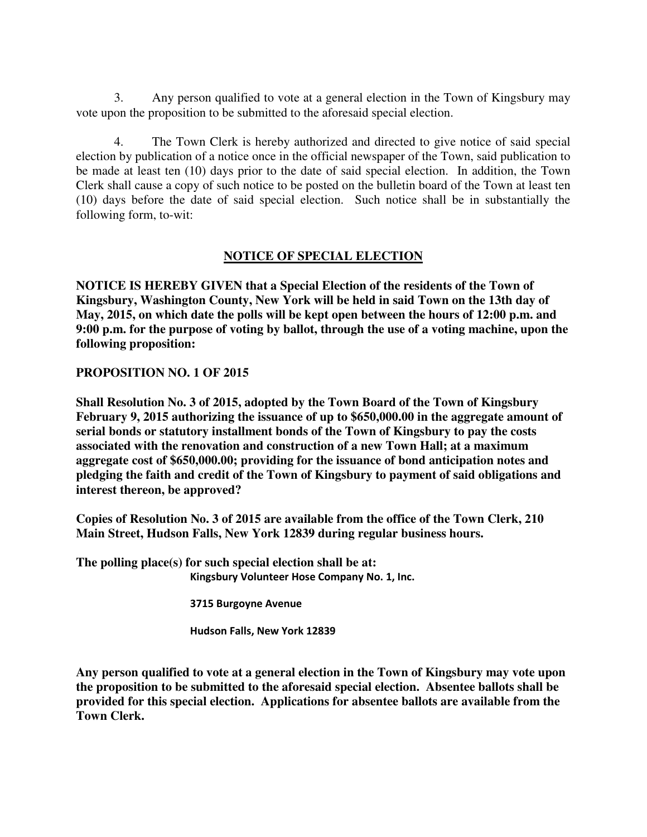3. Any person qualified to vote at a general election in the Town of Kingsbury may vote upon the proposition to be submitted to the aforesaid special election.

4. The Town Clerk is hereby authorized and directed to give notice of said special election by publication of a notice once in the official newspaper of the Town, said publication to be made at least ten (10) days prior to the date of said special election. In addition, the Town Clerk shall cause a copy of such notice to be posted on the bulletin board of the Town at least ten (10) days before the date of said special election. Such notice shall be in substantially the following form, to-wit:

## **NOTICE OF SPECIAL ELECTION**

**NOTICE IS HEREBY GIVEN that a Special Election of the residents of the Town of Kingsbury, Washington County, New York will be held in said Town on the 13th day of May, 2015, on which date the polls will be kept open between the hours of 12:00 p.m. and 9:00 p.m. for the purpose of voting by ballot, through the use of a voting machine, upon the following proposition:** 

### **PROPOSITION NO. 1 OF 2015**

**Shall Resolution No. 3 of 2015, adopted by the Town Board of the Town of Kingsbury February 9, 2015 authorizing the issuance of up to \$650,000.00 in the aggregate amount of serial bonds or statutory installment bonds of the Town of Kingsbury to pay the costs associated with the renovation and construction of a new Town Hall; at a maximum aggregate cost of \$650,000.00; providing for the issuance of bond anticipation notes and pledging the faith and credit of the Town of Kingsbury to payment of said obligations and interest thereon, be approved?** 

**Copies of Resolution No. 3 of 2015 are available from the office of the Town Clerk, 210 Main Street, Hudson Falls, New York 12839 during regular business hours.** 

**The polling place(s) for such special election shall be at: Kingsbury Volunteer Hose Company No. 1, Inc.** 

 **3715 Burgoyne Avenue** 

 **Hudson Falls, New York 12839** 

**Any person qualified to vote at a general election in the Town of Kingsbury may vote upon the proposition to be submitted to the aforesaid special election. Absentee ballots shall be provided for this special election. Applications for absentee ballots are available from the Town Clerk.**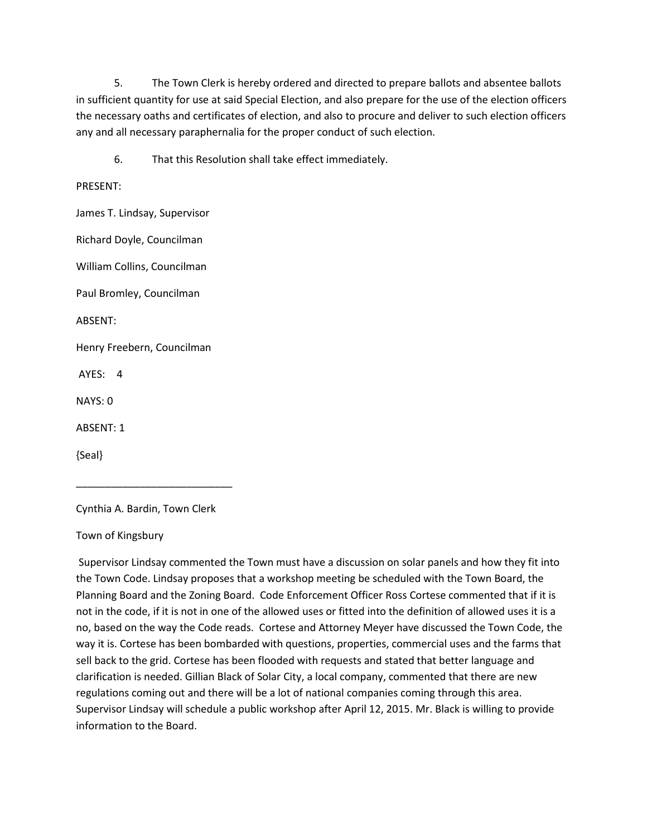5. The Town Clerk is hereby ordered and directed to prepare ballots and absentee ballots in sufficient quantity for use at said Special Election, and also prepare for the use of the election officers the necessary oaths and certificates of election, and also to procure and deliver to such election officers any and all necessary paraphernalia for the proper conduct of such election.

6. That this Resolution shall take effect immediately.

#### PRESENT:

James T. Lindsay, Supervisor

Richard Doyle, Councilman

William Collins, Councilman

Paul Bromley, Councilman

ABSENT:

Henry Freebern, Councilman

AYES: 4

NAYS: 0

ABSENT: 1

{Seal}

Cynthia A. Bardin, Town Clerk

\_\_\_\_\_\_\_\_\_\_\_\_\_\_\_\_\_\_\_\_\_\_\_\_\_\_\_

Town of Kingsbury

 Supervisor Lindsay commented the Town must have a discussion on solar panels and how they fit into the Town Code. Lindsay proposes that a workshop meeting be scheduled with the Town Board, the Planning Board and the Zoning Board. Code Enforcement Officer Ross Cortese commented that if it is not in the code, if it is not in one of the allowed uses or fitted into the definition of allowed uses it is a no, based on the way the Code reads. Cortese and Attorney Meyer have discussed the Town Code, the way it is. Cortese has been bombarded with questions, properties, commercial uses and the farms that sell back to the grid. Cortese has been flooded with requests and stated that better language and clarification is needed. Gillian Black of Solar City, a local company, commented that there are new regulations coming out and there will be a lot of national companies coming through this area. Supervisor Lindsay will schedule a public workshop after April 12, 2015. Mr. Black is willing to provide information to the Board.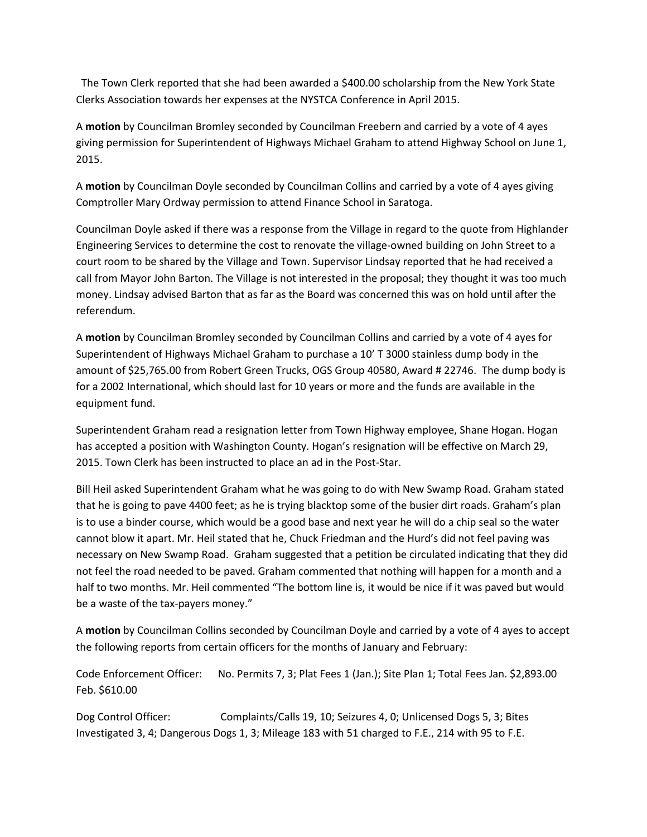The Town Clerk reported that she had been awarded a \$400.00 scholarship from the New York State Clerks Association towards her expenses at the NYSTCA Conference in April 2015.

A **motion** by Councilman Bromley seconded by Councilman Freebern and carried by a vote of 4 ayes giving permission for Superintendent of Highways Michael Graham to attend Highway School on June 1, 2015.

A **motion** by Councilman Doyle seconded by Councilman Collins and carried by a vote of 4 ayes giving Comptroller Mary Ordway permission to attend Finance School in Saratoga.

Councilman Doyle asked if there was a response from the Village in regard to the quote from Highlander Engineering Services to determine the cost to renovate the village-owned building on John Street to a court room to be shared by the Village and Town. Supervisor Lindsay reported that he had received a call from Mayor John Barton. The Village is not interested in the proposal; they thought it was too much money. Lindsay advised Barton that as far as the Board was concerned this was on hold until after the referendum.

A **motion** by Councilman Bromley seconded by Councilman Collins and carried by a vote of 4 ayes for Superintendent of Highways Michael Graham to purchase a 10' T 3000 stainless dump body in the amount of \$25,765.00 from Robert Green Trucks, OGS Group 40580, Award # 22746. The dump body is for a 2002 International, which should last for 10 years or more and the funds are available in the equipment fund.

Superintendent Graham read a resignation letter from Town Highway employee, Shane Hogan. Hogan has accepted a position with Washington County. Hogan's resignation will be effective on March 29, 2015. Town Clerk has been instructed to place an ad in the Post-Star.

Bill Heil asked Superintendent Graham what he was going to do with New Swamp Road. Graham stated that he is going to pave 4400 feet; as he is trying blacktop some of the busier dirt roads. Graham's plan is to use a binder course, which would be a good base and next year he will do a chip seal so the water cannot blow it apart. Mr. Heil stated that he, Chuck Friedman and the Hurd's did not feel paving was necessary on New Swamp Road. Graham suggested that a petition be circulated indicating that they did not feel the road needed to be paved. Graham commented that nothing will happen for a month and a half to two months. Mr. Heil commented "The bottom line is, it would be nice if it was paved but would be a waste of the tax-payers money."

A **motion** by Councilman Collins seconded by Councilman Doyle and carried by a vote of 4 ayes to accept the following reports from certain officers for the months of January and February:

Code Enforcement Officer: No. Permits 7, 3; Plat Fees 1 (Jan.); Site Plan 1; Total Fees Jan. \$2,893.00 Feb. \$610.00

Dog Control Officer: Complaints/Calls 19, 10; Seizures 4, 0; Unlicensed Dogs 5, 3; Bites Investigated 3, 4; Dangerous Dogs 1, 3; Mileage 183 with 51 charged to F.E., 214 with 95 to F.E.